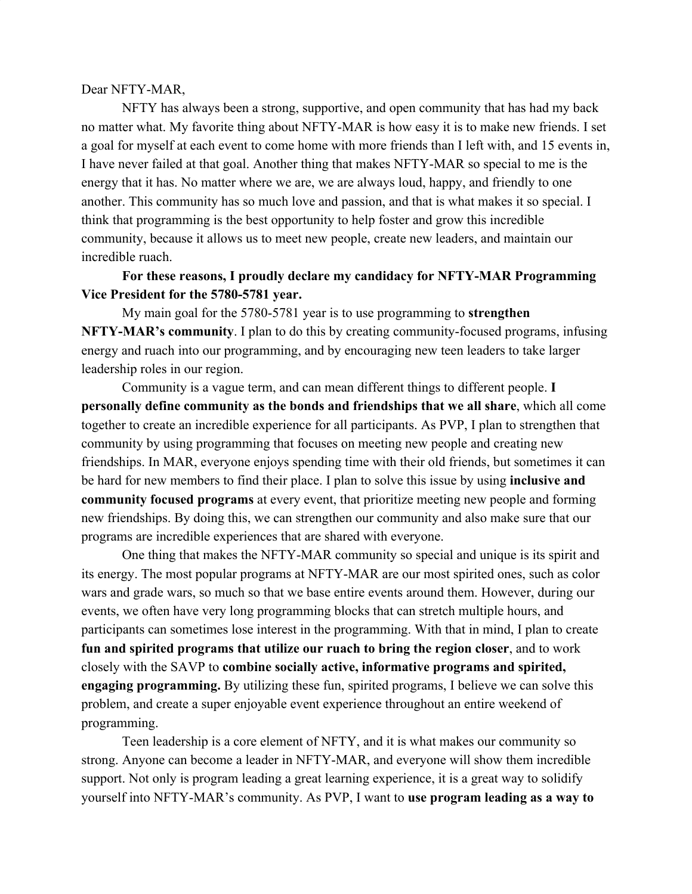## Dear NFTY-MAR,

NFTY has always been a strong, supportive, and open community that has had my back no matter what. My favorite thing about NFTY-MAR is how easy it is to make new friends. I set a goal for myself at each event to come home with more friends than I left with, and 15 events in, I have never failed at that goal. Another thing that makes NFTY-MAR so special to me is the energy that it has. No matter where we are, we are always loud, happy, and friendly to one another. This community has so much love and passion, and that is what makes it so special. I think that programming is the best opportunity to help foster and grow this incredible community, because it allows us to meet new people, create new leaders, and maintain our incredible ruach.

**For these reasons, I proudly declare my candidacy for NFTY-MAR Programming Vice President for the 5780-5781 year.**

My main goal for the 5780-5781 year is to use programming to **strengthen NFTY-MAR's community**. I plan to do this by creating community-focused programs, infusing energy and ruach into our programming, and by encouraging new teen leaders to take larger leadership roles in our region.

Community is a vague term, and can mean different things to different people. **I personally define community as the bonds and friendships that we all share**, which all come together to create an incredible experience for all participants. As PVP, I plan to strengthen that community by using programming that focuses on meeting new people and creating new friendships. In MAR, everyone enjoys spending time with their old friends, but sometimes it can be hard for new members to find their place. I plan to solve this issue by using **inclusive and community focused programs** at every event, that prioritize meeting new people and forming new friendships. By doing this, we can strengthen our community and also make sure that our programs are incredible experiences that are shared with everyone.

One thing that makes the NFTY-MAR community so special and unique is its spirit and its energy. The most popular programs at NFTY-MAR are our most spirited ones, such as color wars and grade wars, so much so that we base entire events around them. However, during our events, we often have very long programming blocks that can stretch multiple hours, and participants can sometimes lose interest in the programming. With that in mind, I plan to create **fun and spirited programs that utilize our ruach to bring the region closer**, and to work closely with the SAVP to **combine socially active, informative programs and spirited, engaging programming.** By utilizing these fun, spirited programs, I believe we can solve this problem, and create a super enjoyable event experience throughout an entire weekend of programming.

Teen leadership is a core element of NFTY, and it is what makes our community so strong. Anyone can become a leader in NFTY-MAR, and everyone will show them incredible support. Not only is program leading a great learning experience, it is a great way to solidify yourself into NFTY-MAR's community. As PVP, I want to **use program leading as a way to**